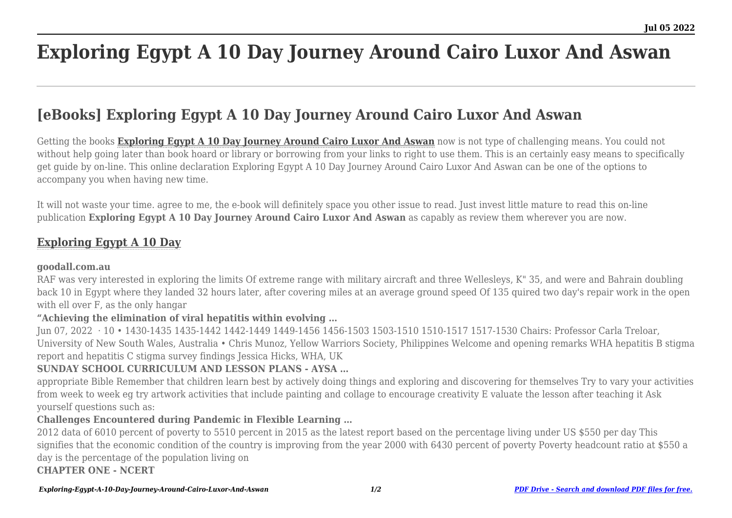# **Exploring Egypt A 10 Day Journey Around Cairo Luxor And Aswan**

## **[eBooks] Exploring Egypt A 10 Day Journey Around Cairo Luxor And Aswan**

Getting the books **[Exploring Egypt A 10 Day Journey Around Cairo Luxor And Aswan](http://jessicaberan.com)** now is not type of challenging means. You could not without help going later than book hoard or library or borrowing from your links to right to use them. This is an certainly easy means to specifically get guide by on-line. This online declaration Exploring Egypt A 10 Day Journey Around Cairo Luxor And Aswan can be one of the options to accompany you when having new time.

It will not waste your time. agree to me, the e-book will definitely space you other issue to read. Just invest little mature to read this on-line publication **Exploring Egypt A 10 Day Journey Around Cairo Luxor And Aswan** as capably as review them wherever you are now.

### **[Exploring Egypt A 10 Day](http://jessicaberan.com/Exploring-Egypt-A-10-Day-Journey-Around-Cairo-Luxor-And-Aswan.pdf)**

#### **goodall.com.au**

RAF was very interested in exploring the limits Of extreme range with military aircraft and three Wellesleys, K" 35, and were and Bahrain doubling back 10 in Egypt where they landed 32 hours later, after covering miles at an average ground speed Of 135 quired two day's repair work in the open with ell over F, as the only hangar

#### **"Achieving the elimination of viral hepatitis within evolving …**

Jun 07, 2022 · 10 • 1430-1435 1435-1442 1442-1449 1449-1456 1456-1503 1503-1510 1510-1517 1517-1530 Chairs: Professor Carla Treloar, University of New South Wales, Australia • Chris Munoz, Yellow Warriors Society, Philippines Welcome and opening remarks WHA hepatitis B stigma report and hepatitis C stigma survey findings Jessica Hicks, WHA, UK

#### **SUNDAY SCHOOL CURRICULUM AND LESSON PLANS - AYSA …**

appropriate Bible Remember that children learn best by actively doing things and exploring and discovering for themselves Try to vary your activities from week to week eg try artwork activities that include painting and collage to encourage creativity E valuate the lesson after teaching it Ask yourself questions such as:

#### **Challenges Encountered during Pandemic in Flexible Learning …**

2012 data of 6010 percent of poverty to 5510 percent in 2015 as the latest report based on the percentage living under US \$550 per day This signifies that the economic condition of the country is improving from the year 2000 with 6430 percent of poverty Poverty headcount ratio at \$550 a day is the percentage of the population living on

**CHAPTER ONE - NCERT**